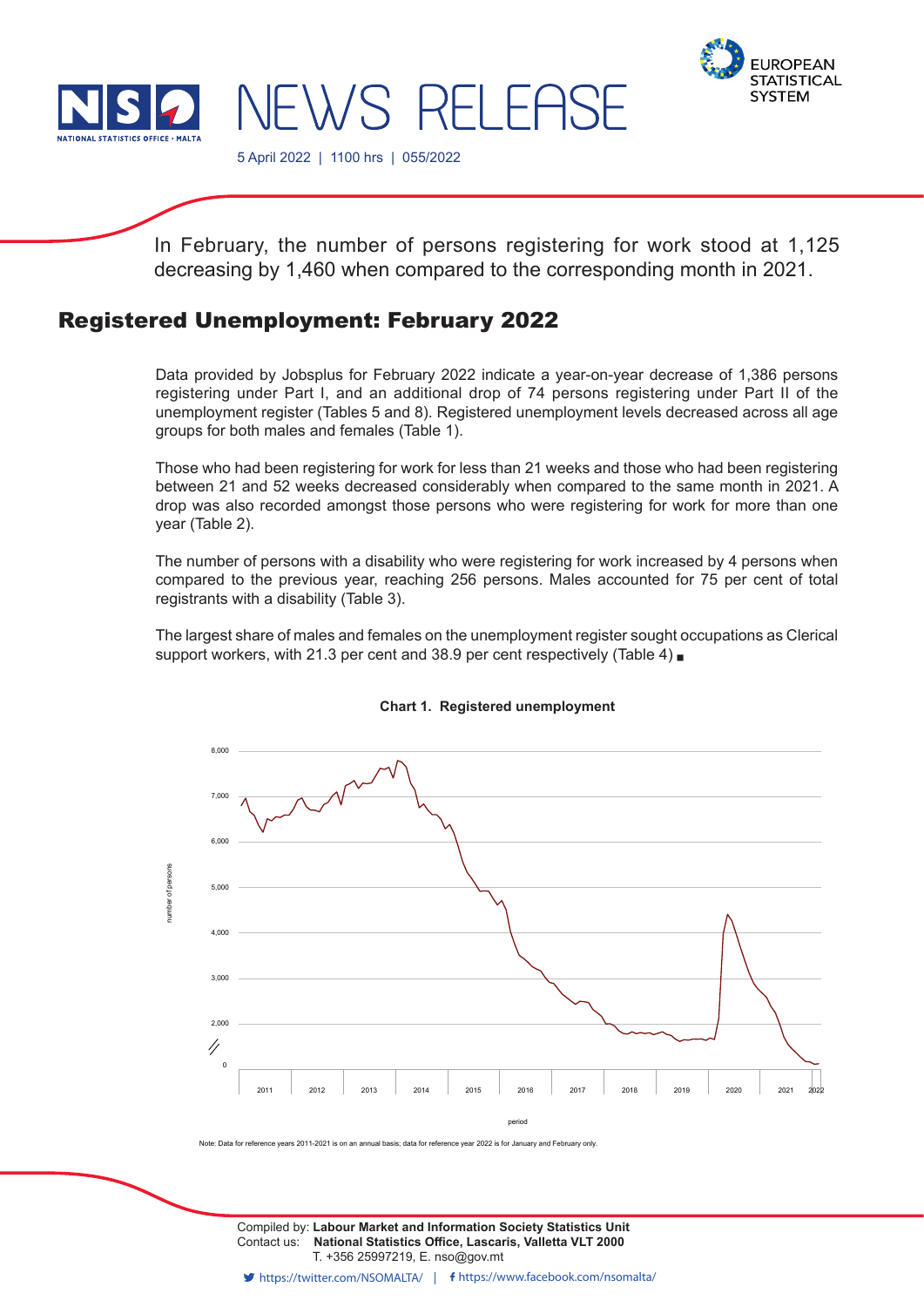



5 April 2022 | 1100 hrs | 055/2022

In February, the number of persons registering for work stood at 1,125 decreasing by 1,460 when compared to the corresponding month in 2021.

NEWS RELEASE

# Registered Unemployment: February 2022

Data provided by Jobsplus for February 2022 indicate a year-on-year decrease of 1,386 persons registering under Part I, and an additional drop of 74 persons registering under Part II of the unemployment register (Tables 5 and 8). Registered unemployment levels decreased across all age groups for both males and females (Table 1).

Those who had been registering for work for less than 21 weeks and those who had been registering between 21 and 52 weeks decreased considerably when compared to the same month in 2021. A drop was also recorded amongst those persons who were registering for work for more than one year (Table 2).

The number of persons with a disability who were registering for work increased by 4 persons when compared to the previous year, reaching 256 persons. Males accounted for 75 per cent of total registrants with a disability (Table 3).

The largest share of males and females on the unemployment register sought occupations as Clerical support workers, with 21.3 per cent and 38.9 per cent respectively (Table 4)



## **Chart 1. Registered unemployment**

Note: Data for reference years 2011-2021 is on an annual basis; data for reference year 2022 is for January and February only.

Contact us: **National Statistics Office, Lascaris, Valletta VLT 2000** T. +356 25997219, E. nso@gov.mt Compiled by: **Labour Market and Information Society Statistics Unit**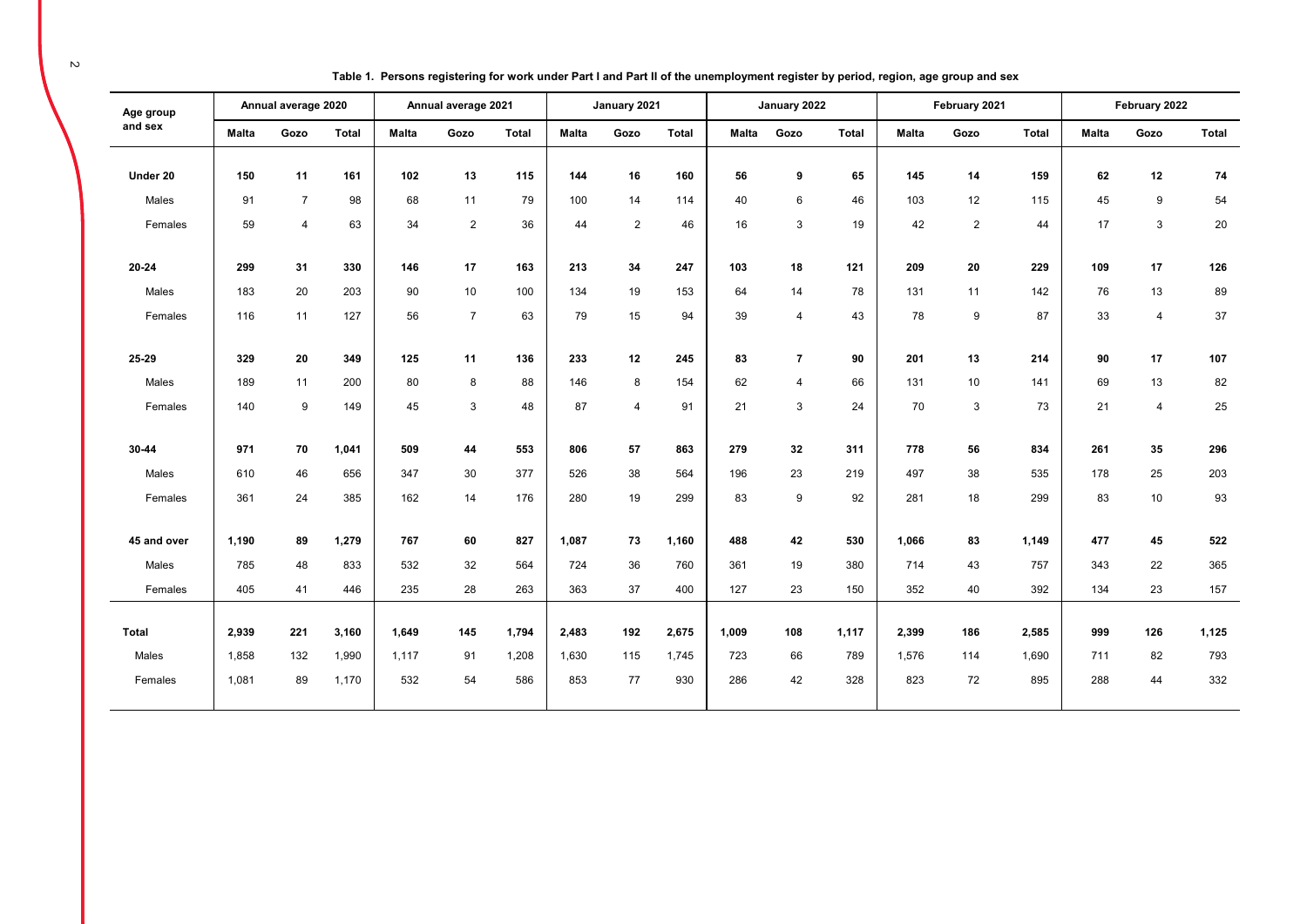| Age group    |              | Annual average 2020 |              |       | Annual average 2021 |              |              | January 2021   |              |       | January 2022   |              |       | February 2021  |              |       | February 2022  |       |
|--------------|--------------|---------------------|--------------|-------|---------------------|--------------|--------------|----------------|--------------|-------|----------------|--------------|-------|----------------|--------------|-------|----------------|-------|
| and sex      | <b>Malta</b> | Gozo                | <b>Total</b> | Malta | Gozo                | <b>Total</b> | <b>Malta</b> | Gozo           | <b>Total</b> | Malta | Gozo           | <b>Total</b> | Malta | Gozo           | <b>Total</b> | Malta | Gozo           | Total |
|              | 150          | 11                  | 161          | 102   | 13                  |              |              |                |              |       |                |              | 145   | 14             |              |       |                |       |
| Under 20     |              |                     |              |       |                     | 115          | 144          | 16             | 160          | 56    | 9              | 65           |       |                | 159          | 62    | 12             | 74    |
| Males        | 91           | $\overline{7}$      | 98           | 68    | 11                  | 79           | 100          | 14             | 114          | 40    | 6              | 46           | 103   | 12             | 115          | 45    | 9              | 54    |
| Females      | 59           | 4                   | 63           | 34    | 2                   | 36           | 44           | $\overline{2}$ | 46           | 16    | 3              | 19           | 42    | $\overline{2}$ | 44           | 17    | 3              | 20    |
| 20-24        | 299          | 31                  | 330          | 146   | 17                  | 163          | 213          | 34             | 247          | 103   | 18             | 121          | 209   | 20             | 229          | 109   | 17             | 126   |
| Males        | 183          | 20                  | 203          | 90    | 10                  | 100          | 134          | 19             | 153          | 64    | 14             | 78           | 131   | 11             | 142          | 76    | 13             | 89    |
| Females      | 116          | 11                  | 127          | 56    | $\overline{7}$      | 63           | 79           | 15             | 94           | 39    | $\overline{4}$ | 43           | 78    | 9              | 87           | 33    | $\overline{4}$ | 37    |
|              |              |                     |              |       |                     |              |              |                |              |       |                |              |       |                |              |       |                |       |
| 25-29        | 329          | 20                  | 349          | 125   | 11                  | 136          | 233          | 12             | 245          | 83    | $\overline{7}$ | 90           | 201   | 13             | 214          | 90    | 17             | 107   |
| Males        | 189          | 11                  | 200          | 80    | 8                   | 88           | 146          | 8              | 154          | 62    | $\overline{4}$ | 66           | 131   | 10             | 141          | 69    | 13             | 82    |
| Females      | 140          | 9                   | 149          | 45    | 3                   | 48           | 87           | $\overline{4}$ | 91           | 21    | $\mathbf{3}$   | 24           | 70    | 3              | 73           | 21    | $\overline{4}$ | 25    |
|              |              |                     |              |       |                     |              |              |                |              |       |                |              |       |                |              |       |                |       |
| 30-44        | 971          | 70                  | 1,041        | 509   | 44                  | 553          | 806          | 57             | 863          | 279   | 32             | 311          | 778   | 56             | 834          | 261   | 35             | 296   |
| Males        | 610          | 46                  | 656          | 347   | 30                  | 377          | 526          | 38             | 564          | 196   | 23             | 219          | 497   | 38             | 535          | 178   | 25             | 203   |
| Females      | 361          | 24                  | 385          | 162   | 14                  | 176          | 280          | 19             | 299          | 83    | 9              | 92           | 281   | 18             | 299          | 83    | 10             | 93    |
|              |              |                     |              |       |                     |              |              |                |              |       |                |              |       |                |              |       |                |       |
| 45 and over  | 1,190        | 89                  | 1,279        | 767   | 60                  | 827          | 1,087        | 73             | 1,160        | 488   | 42             | 530          | 1,066 | 83             | 1,149        | 477   | 45             | 522   |
| Males        | 785          | 48                  | 833          | 532   | 32                  | 564          | 724          | 36             | 760          | 361   | 19             | 380          | 714   | 43             | 757          | 343   | 22             | 365   |
| Females      | 405          | 41                  | 446          | 235   | 28                  | 263          | 363          | 37             | 400          | 127   | 23             | 150          | 352   | 40             | 392          | 134   | 23             | 157   |
|              |              |                     |              |       |                     |              |              |                |              |       |                |              |       |                |              |       |                |       |
| <b>Total</b> | 2,939        | 221                 | 3,160        | 1,649 | 145                 | 1,794        | 2,483        | 192            | 2,675        | 1,009 | 108            | 1,117        | 2,399 | 186            | 2,585        | 999   | 126            | 1,125 |
| Males        | 1,858        | 132                 | 1,990        | 1,117 | 91                  | 1,208        | 1,630        | 115            | 1,745        | 723   | 66             | 789          | 1,576 | 114            | 1,690        | 711   | 82             | 793   |
| Females      | 1,081        | 89                  | 1,170        | 532   | 54                  | 586          | 853          | 77             | 930          | 286   | 42             | 328          | 823   | 72             | 895          | 288   | 44             | 332   |
|              |              |                     |              |       |                     |              |              |                |              |       |                |              |       |                |              |       |                |       |

**Table 1. Persons registering for work under Part I and Part II of the unemployment register by period, region, age group and sex**

 $\sim$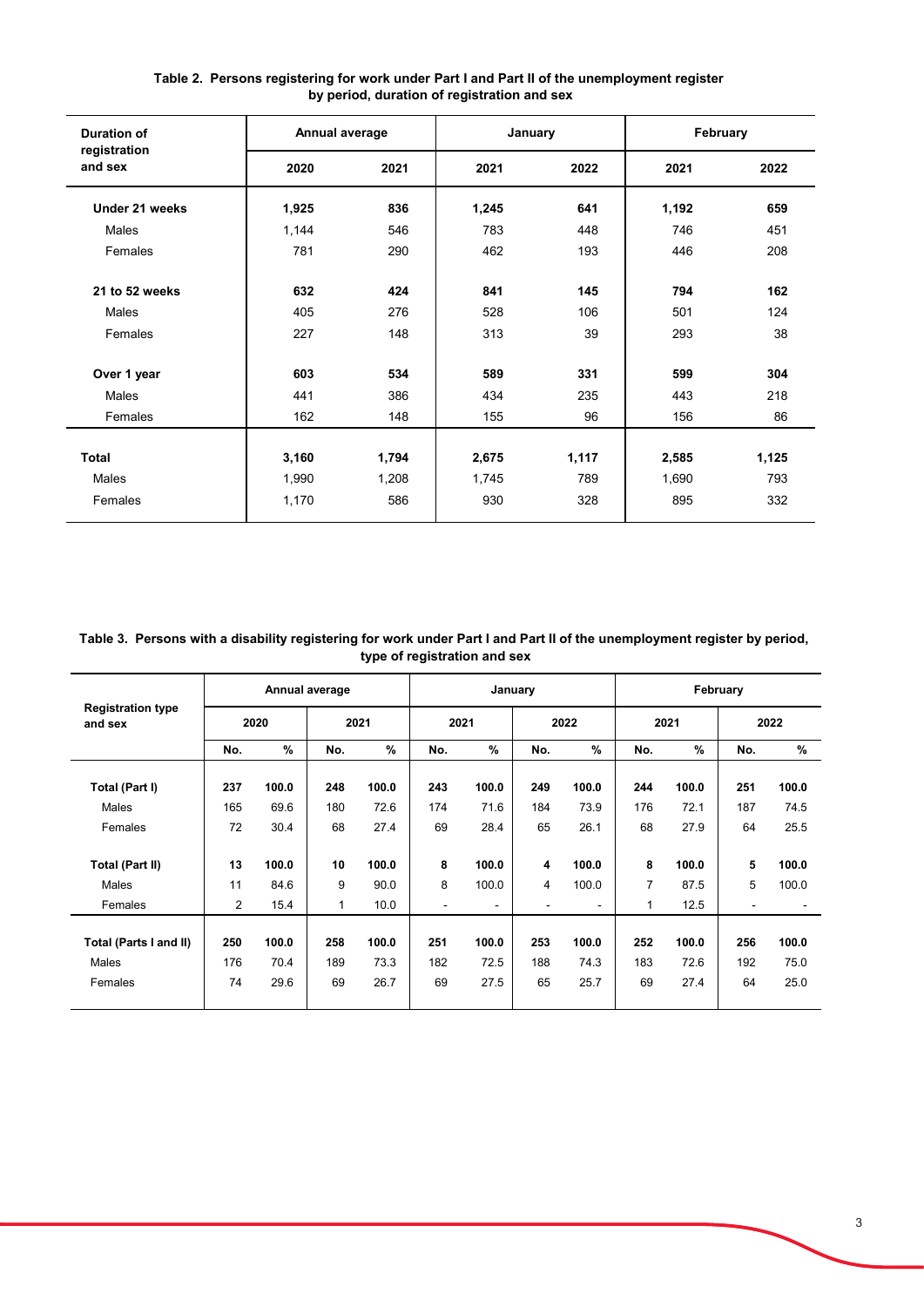| <b>Duration of</b>      | Annual average |       | January |       | February |       |
|-------------------------|----------------|-------|---------|-------|----------|-------|
| registration<br>and sex | 2020           | 2021  | 2021    | 2022  | 2021     | 2022  |
| Under 21 weeks          | 1,925          | 836   | 1,245   | 641   | 1,192    | 659   |
| Males                   | 1,144          | 546   | 783     | 448   | 746      | 451   |
| Females                 | 781            | 290   | 462     | 193   | 446      | 208   |
| 21 to 52 weeks          | 632            | 424   | 841     | 145   | 794      | 162   |
| Males                   | 405            | 276   | 528     | 106   | 501      | 124   |
| Females                 | 227            | 148   | 313     | 39    | 293      | 38    |
| Over 1 year             | 603            | 534   | 589     | 331   | 599      | 304   |
| Males                   | 441            | 386   | 434     | 235   | 443      | 218   |
| Females                 | 162            | 148   | 155     | 96    | 156      | 86    |
|                         |                |       |         |       |          |       |
| <b>Total</b>            | 3,160          | 1,794 | 2,675   | 1,117 | 2,585    | 1,125 |
| Males                   | 1,990          | 1,208 | 1,745   | 789   | 1,690    | 793   |
| Females                 | 1,170          | 586   | 930     | 328   | 895      | 332   |

## **Table 2. Persons registering for work under Part I and Part II of the unemployment register by period, duration of registration and sex**

**Table 3. Persons with a disability registering for work under Part I and Part II of the unemployment register by period, type of registration and sex**

|                                     |            |               | Annual average |               |            |                | January    |               |            |               | February   |               |
|-------------------------------------|------------|---------------|----------------|---------------|------------|----------------|------------|---------------|------------|---------------|------------|---------------|
| <b>Registration type</b><br>and sex |            | 2020          |                | 2021          |            | 2021           |            | 2022          |            | 2021          |            | 2022          |
|                                     | No.        | %             | No.            | %             | No.        | $\frac{9}{6}$  | No.        | $\frac{9}{6}$ | No.        | $\frac{9}{6}$ | No.        | $\%$          |
| Total (Part I)                      | 237        | 100.0         | 248            | 100.0         | 243        | 100.0          | 249        | 100.0         | 244        | 100.0         | 251        | 100.0         |
| Males                               | 165        | 69.6          | 180            | 72.6          | 174        | 71.6           | 184        | 73.9          | 176        | 72.1          | 187        | 74.5          |
| Females                             | 72         | 30.4          | 68             | 27.4          | 69         | 28.4           | 65         | 26.1          | 68         | 27.9          | 64         | 25.5          |
| <b>Total (Part II)</b>              | 13         | 100.0         | 10             | 100.0         | 8          | 100.0          | 4          | 100.0         | 8          | 100.0         | 5          | 100.0         |
| Males                               | 11         | 84.6          | 9              | 90.0          | 8          | 100.0          | 4          | 100.0         | 7          | 87.5          | 5          | 100.0         |
| Females                             | 2          | 15.4          | 1              | 10.0          | ۰          | $\blacksquare$ |            |               | 1          | 12.5          |            |               |
| Total (Parts I and II)<br>Males     | 250<br>176 | 100.0<br>70.4 | 258<br>189     | 100.0<br>73.3 | 251<br>182 | 100.0<br>72.5  | 253<br>188 | 100.0<br>74.3 | 252<br>183 | 100.0<br>72.6 | 256<br>192 | 100.0<br>75.0 |
| Females                             | 74         | 29.6          | 69             | 26.7          | 69         | 27.5           | 65         | 25.7          | 69         | 27.4          | 64         | 25.0          |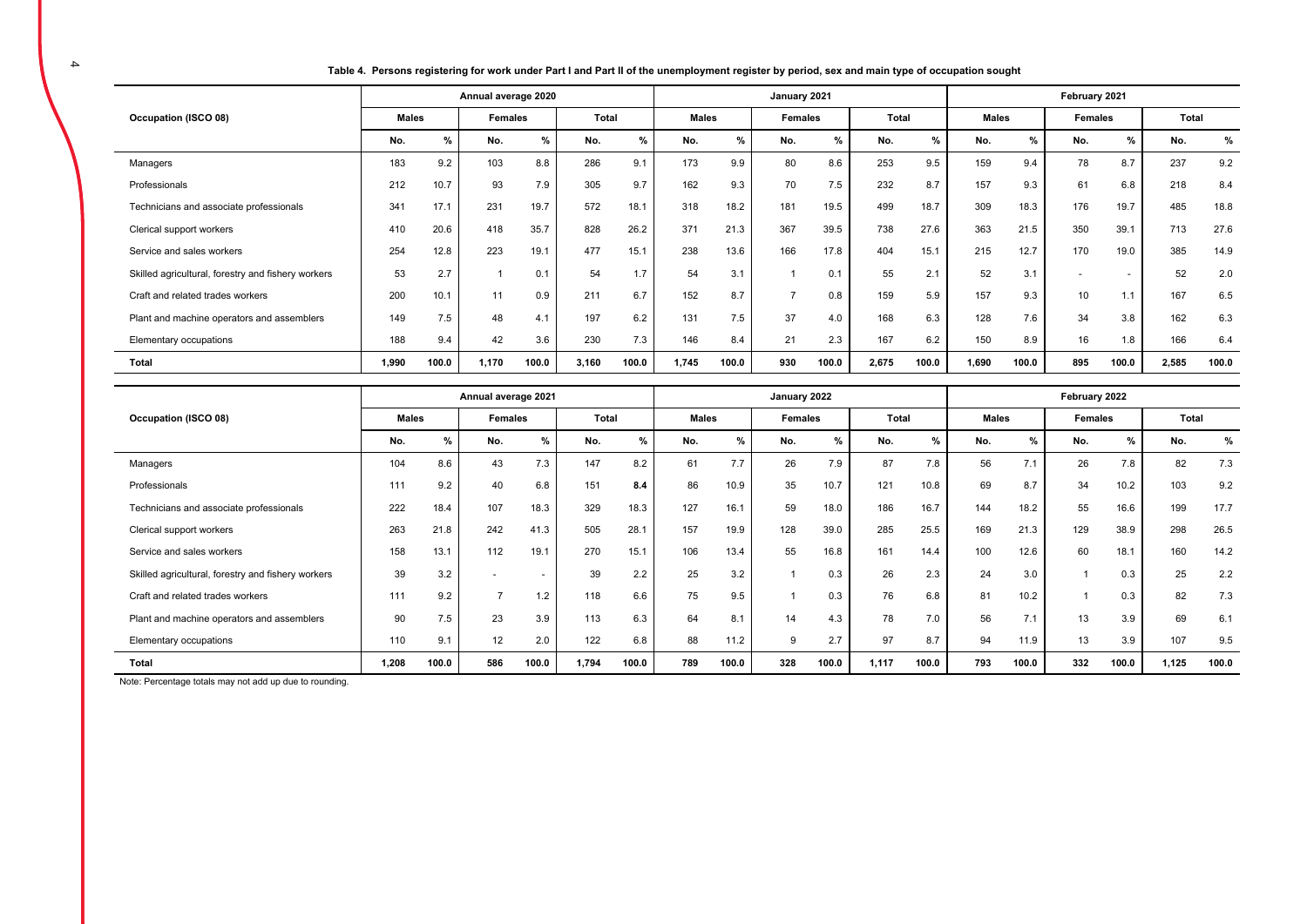**Table 4. Persons registering for work under Part I and Part II of the unemployment register by period, sex and main type of occupation sought** 

|                                                    |       |       | Annual average 2020 |       |       |       |              |               | January 2021   |       |       |       |              |       | February 2021 |                |       |       |
|----------------------------------------------------|-------|-------|---------------------|-------|-------|-------|--------------|---------------|----------------|-------|-------|-------|--------------|-------|---------------|----------------|-------|-------|
| Occupation (ISCO 08)                               | Males |       | Females             |       | Total |       | <b>Males</b> |               | Females        |       | Total |       | <b>Males</b> |       | Females       |                | Total |       |
|                                                    | No.   | $\%$  | No.                 | %     | No.   | %     | No.          | $\frac{9}{6}$ | No.            | %     | No.   | $\%$  | No.          | %     | No.           | $\%$           | No.   | %     |
| Managers                                           | 183   | 9.2   | 103                 | 8.8   | 286   | 9.1   | 173          | 9.9           | 80             | 8.6   | 253   | 9.5   | 159          | 9.4   | 78            | 8.7            | 237   | 9.2   |
| Professionals                                      | 212   | 10.7  | 93                  | 7.9   | 305   | 9.7   | 162          | 9.3           | 70             | 7.5   | 232   | 8.7   | 157          | 9.3   | 61            | 6.8            | 218   | 8.4   |
| Technicians and associate professionals            | 341   | 17.1  | 231                 | 19.7  | 572   | 18.1  | 318          | 18.2          | 181            | 19.5  | 499   | 18.7  | 309          | 18.3  | 176           | 19.7           | 485   | 18.8  |
| Clerical support workers                           | 410   | 20.6  | 418                 | 35.7  | 828   | 26.2  | 371          | 21.3          | 367            | 39.5  | 738   | 27.6  | 363          | 21.5  | 350           | 39.1           | 713   | 27.6  |
| Service and sales workers                          | 254   | 12.8  | 223                 | 19.1  | 477   | 15.1  | 238          | 13.6          | 166            | 17.8  | 404   | 15.1  | 215          | 12.7  | 170           | 19.0           | 385   | 14.9  |
| Skilled agricultural, forestry and fishery workers | 53    | 2.7   |                     | 0.1   | 54    | 1.7   | 54           | 3.1           |                | 0.1   | 55    | 2.1   | 52           | 3.1   | $\sim$        | $\overline{a}$ | 52    | 2.0   |
| Craft and related trades workers                   | 200   | 10.1  | 11                  | 0.9   | 211   | 6.7   | 152          | 8.7           | $\overline{ }$ | 0.8   | 159   | 5.9   | 157          | 9.3   | 10            | 1.1            | 167   | 6.5   |
| Plant and machine operators and assemblers         | 149   | 7.5   | 48                  | 4.1   | 197   | 6.2   | 131          | 7.5           | 37             | 4.0   | 168   | 6.3   | 128          | 7.6   | 34            | 3.8            | 162   | 6.3   |
| Elementary occupations                             | 188   | 9.4   | 42                  | 3.6   | 230   | 7.3   | 146          | 8.4           | 21             | 2.3   | 167   | 6.2   | 150          | 8.9   | 16            | 1.8            | 166   | 6.4   |
| Total                                              | 1,990 | 100.0 | 1,170               | 100.0 | 3,160 | 100.0 | 1,745        | 100.0         | 930            | 100.0 | 2,675 | 100.0 | 1,690        | 100.0 | 895           | 100.0          | 2,585 | 100.0 |

|                                                    |              |       | Annual average 2021 |                          |       |       |              |               | January 2022 |       |       |       |              |       | February 2022 |       |       |       |
|----------------------------------------------------|--------------|-------|---------------------|--------------------------|-------|-------|--------------|---------------|--------------|-------|-------|-------|--------------|-------|---------------|-------|-------|-------|
| Occupation (ISCO 08)                               | <b>Males</b> |       | <b>Females</b>      |                          | Total |       | <b>Males</b> |               | Females      |       | Total |       | <b>Males</b> |       | Females       |       | Total |       |
|                                                    | No.          | %     | No.                 | %                        | No.   | $\%$  | No.          | $\frac{9}{6}$ | No.          | $\%$  | No.   | %     | No.          | %     | No.           | %     | No.   | %     |
| Managers                                           | 104          | 8.6   | 43                  | 7.3                      | 147   | 8.2   | 61           | 7.7           | 26           | 7.9   | 87    | 7.8   | 56           | 7.1   | 26            | 7.8   | 82    | 7.3   |
| Professionals                                      | 111          | 9.2   | 40                  | 6.8                      | 151   | 8.4   | 86           | 10.9          | 35           | 10.7  | 121   | 10.8  | 69           | 8.7   | 34            | 10.2  | 103   | 9.2   |
| Technicians and associate professionals            | 222          | 18.4  | 107                 | 18.3                     | 329   | 18.3  | 127          | 16.1          | 59           | 18.0  | 186   | 16.7  | 144          | 18.2  | 55            | 16.6  | 199   | 17.7  |
| Clerical support workers                           | 263          | 21.8  | 242                 | 41.3                     | 505   | 28.1  | 157          | 19.9          | 128          | 39.0  | 285   | 25.5  | 169          | 21.3  | 129           | 38.9  | 298   | 26.5  |
| Service and sales workers                          | 158          | 13.1  | 112                 | 19.1                     | 270   | 15.1  | 106          | 13.4          | 55           | 16.8  | 161   | 14.4  | 100          | 12.6  | 60            | 18.1  | 160   | 14.2  |
| Skilled agricultural, forestry and fishery workers | 39           | 3.2   |                     | $\overline{\phantom{a}}$ | 39    | 2.2   | 25           | 3.2           |              | 0.3   | 26    | 2.3   | 24           | 3.0   |               | 0.3   | 25    | 2.2   |
| Craft and related trades workers                   | 111          | 9.2   | -                   | 1.2                      | 118   | 6.6   | 75           | 9.5           |              | 0.3   | 76    | 6.8   | 81           | 10.2  |               | 0.3   | 82    | 7.3   |
| Plant and machine operators and assemblers         | 90           | 7.5   | 23                  | 3.9                      | 113   | 6.3   | 64           | 8.1           | 14           | 4.3   | 78    | 7.0   | 56           | 7.1   | 13            | 3.9   | 69    | 6.1   |
| Elementary occupations                             | 110          | 9.1   | 12                  | 2.0                      | 122   | 6.8   | 88           | 11.2          | 9            | 2.7   | 97    | 8.7   | 94           | 11.9  | 13            | 3.9   | 107   | 9.5   |
| Total                                              | 1,208        | 100.0 | 586                 | 100.0                    | 1,794 | 100.0 | 789          | 100.0         | 328          | 100.0 | 1,117 | 100.0 | 793          | 100.0 | 332           | 100.0 | 1,125 | 100.0 |

Note: Percentage totals may not add up due to rounding.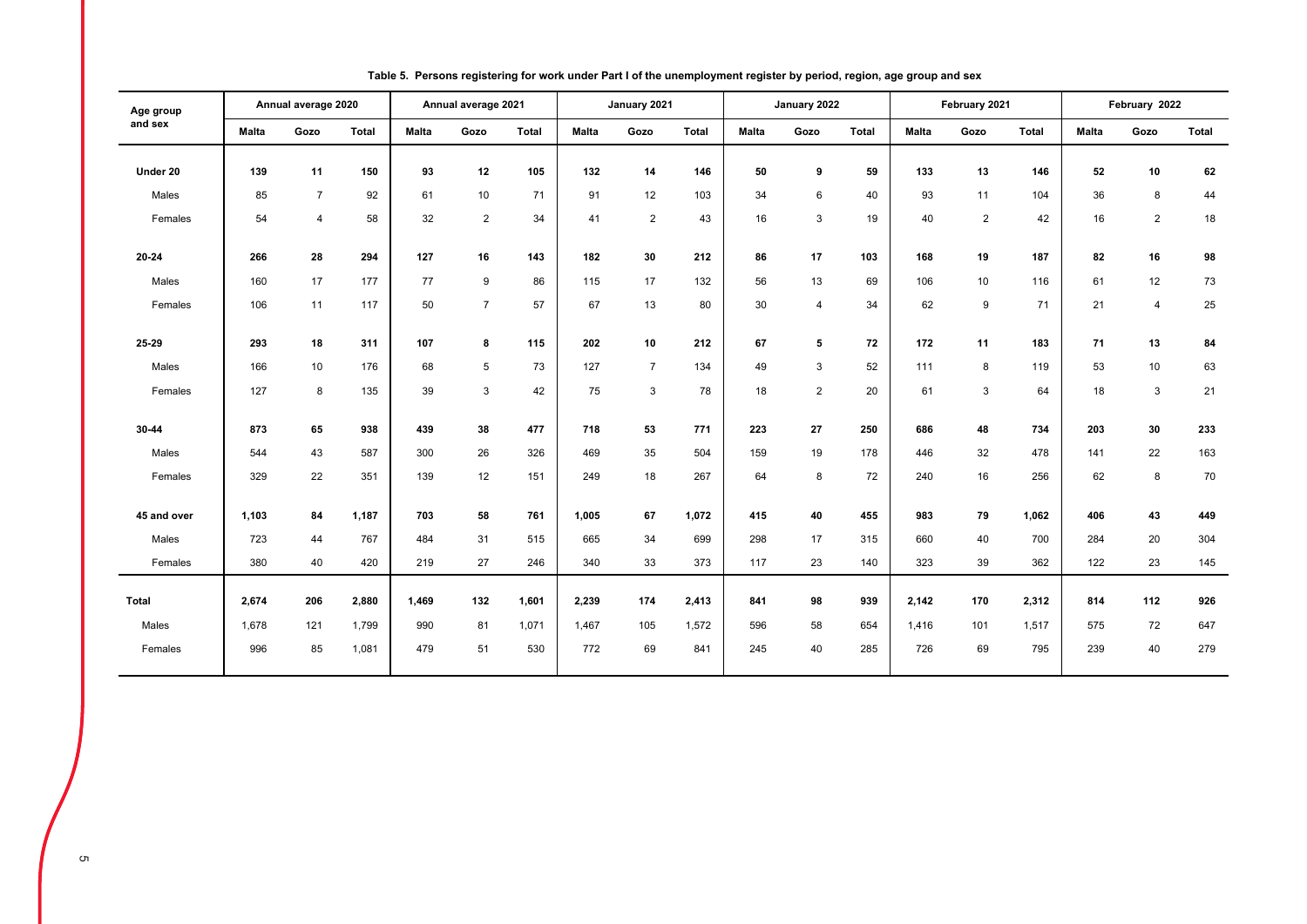| Age group    |              | Annual average 2020 |              |              | Annual average 2021 |              |              | January 2021   |              |              | January 2022   |       |              | February 2021  |              |       | February 2022  |              |
|--------------|--------------|---------------------|--------------|--------------|---------------------|--------------|--------------|----------------|--------------|--------------|----------------|-------|--------------|----------------|--------------|-------|----------------|--------------|
| and sex      | <b>Malta</b> | Gozo                | <b>Total</b> | <b>Malta</b> | Gozo                | <b>Total</b> | <b>Malta</b> | Gozo           | <b>Total</b> | <b>Malta</b> | Gozo           | Total | <b>Malta</b> | Gozo           | <b>Total</b> | Malta | Gozo           | <b>Total</b> |
| Under 20     | 139          | 11                  | 150          | 93           | 12                  | 105          | 132          | 14             | 146          | 50           | 9              | 59    | 133          | 13             | 146          | 52    | 10             | 62           |
| Males        | 85           | $\overline{7}$      | 92           | 61           | 10                  | 71           | 91           | 12             | 103          | 34           | 6              | 40    | 93           | 11             | 104          | 36    | 8              | 44           |
| Females      | 54           | $\overline{4}$      | 58           | 32           | $\overline{2}$      | 34           | 41           | $\overline{2}$ | 43           | 16           | 3              | 19    | 40           | $\overline{2}$ | 42           | 16    | $\overline{2}$ | 18           |
|              |              |                     |              |              |                     |              |              |                |              |              |                |       |              |                |              |       |                |              |
| 20-24        | 266          | 28                  | 294          | 127          | 16                  | 143          | 182          | 30             | 212          | 86           | 17             | 103   | 168          | 19             | 187          | 82    | 16             | 98           |
| Males        | 160          | 17                  | 177          | 77           | 9                   | 86           | 115          | 17             | 132          | 56           | 13             | 69    | 106          | 10             | 116          | 61    | 12             | 73           |
| Females      | 106          | 11                  | 117          | 50           | $\overline{7}$      | 57           | 67           | 13             | 80           | 30           | $\overline{4}$ | 34    | 62           | 9              | 71           | 21    | 4              | 25           |
|              |              |                     |              |              |                     |              |              |                |              |              |                |       |              |                |              |       |                |              |
| 25-29        | 293          | 18                  | 311          | 107          | 8                   | 115          | 202          | 10             | 212          | 67           | 5              | 72    | 172          | 11             | 183          | 71    | 13             | 84           |
| Males        | 166          | 10                  | 176          | 68           | 5                   | 73           | 127          | $\overline{7}$ | 134          | 49           | 3              | 52    | 111          | 8              | 119          | 53    | 10             | 63           |
| Females      | 127          | 8                   | 135          | 39           | 3                   | 42           | 75           | 3              | 78           | 18           | $\overline{2}$ | 20    | 61           | 3              | 64           | 18    | 3              | 21           |
|              |              |                     |              |              |                     |              |              |                |              |              |                |       |              |                |              |       |                |              |
| 30-44        | 873          | 65                  | 938          | 439          | 38                  | 477          | 718          | 53             | 771          | 223          | 27             | 250   | 686          | 48             | 734          | 203   | 30             | 233          |
| Males        | 544          | 43                  | 587          | 300          | 26                  | 326          | 469          | 35             | 504          | 159          | 19             | 178   | 446          | 32             | 478          | 141   | 22             | 163          |
| Females      | 329          | 22                  | 351          | 139          | 12                  | 151          | 249          | 18             | 267          | 64           | 8              | 72    | 240          | 16             | 256          | 62    | 8              | 70           |
| 45 and over  | 1,103        | 84                  | 1,187        | 703          | 58                  | 761          | 1,005        | 67             | 1,072        | 415          |                | 455   | 983          | 79             | 1,062        | 406   | 43             | 449          |
|              |              |                     |              |              |                     |              |              |                |              |              | 40             |       |              |                |              |       |                |              |
| Males        | 723          | 44                  | 767          | 484          | 31                  | 515          | 665          | 34             | 699          | 298          | 17             | 315   | 660          | 40             | 700          | 284   | 20             | 304          |
| Females      | 380          | 40                  | 420          | 219          | 27                  | 246          | 340          | 33             | 373          | 117          | 23             | 140   | 323          | 39             | 362          | 122   | 23             | 145          |
| <b>Total</b> | 2,674        | 206                 | 2,880        | 1,469        | 132                 | 1,601        | 2,239        | 174            | 2,413        | 841          | 98             | 939   | 2,142        | 170            | 2,312        | 814   | 112            | 926          |
| Males        | 1,678        | 121                 | 1,799        | 990          | 81                  | 1,071        | 1,467        | 105            | 1,572        | 596          | 58             | 654   | 1,416        | 101            | 1,517        | 575   | 72             | 647          |
| Females      | 996          | 85                  | 1,081        | 479          | 51                  | 530          | 772          | 69             | 841          | 245          | 40             | 285   | 726          | 69             | 795          | 239   | 40             | 279          |
|              |              |                     |              |              |                     |              |              |                |              |              |                |       |              |                |              |       |                |              |

### **Table 5. Persons registering for work under Part I of the unemployment register by period, region, age group and sex**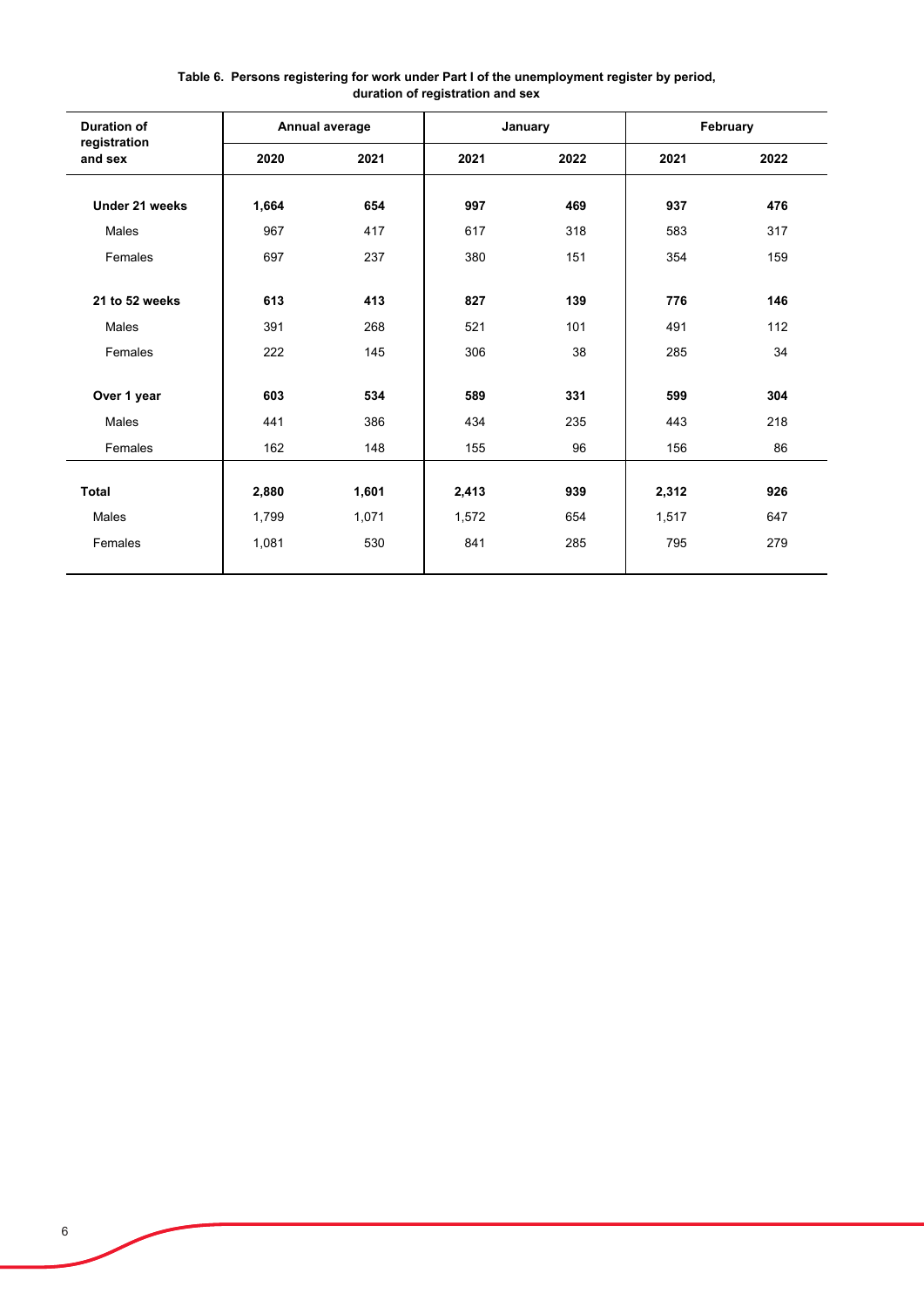| <b>Duration of</b>      |       | Annual average |       | January |       | February |
|-------------------------|-------|----------------|-------|---------|-------|----------|
| registration<br>and sex | 2020  | 2021           | 2021  | 2022    | 2021  | 2022     |
| Under 21 weeks          | 1,664 | 654            | 997   | 469     | 937   | 476      |
| Males                   | 967   | 417            | 617   | 318     | 583   | 317      |
| Females                 | 697   | 237            | 380   | 151     | 354   | 159      |
| 21 to 52 weeks          | 613   | 413            | 827   | 139     | 776   | 146      |
| Males                   | 391   | 268            | 521   | 101     | 491   | 112      |
| Females                 | 222   | 145            | 306   | 38      | 285   | 34       |
| Over 1 year             | 603   | 534            | 589   | 331     | 599   | 304      |
| Males                   | 441   | 386            | 434   | 235     | 443   | 218      |
| Females                 | 162   | 148            | 155   | 96      | 156   | 86       |
|                         |       |                |       |         |       |          |
| Total                   | 2,880 | 1,601          | 2,413 | 939     | 2,312 | 926      |
| Males                   | 1,799 | 1,071          | 1,572 | 654     | 1,517 | 647      |
| Females                 | 1,081 | 530            | 841   | 285     | 795   | 279      |
|                         |       |                |       |         |       |          |

#### **Table 6. Persons registering for work under Part I of the unemployment register by period, duration of registration and sex**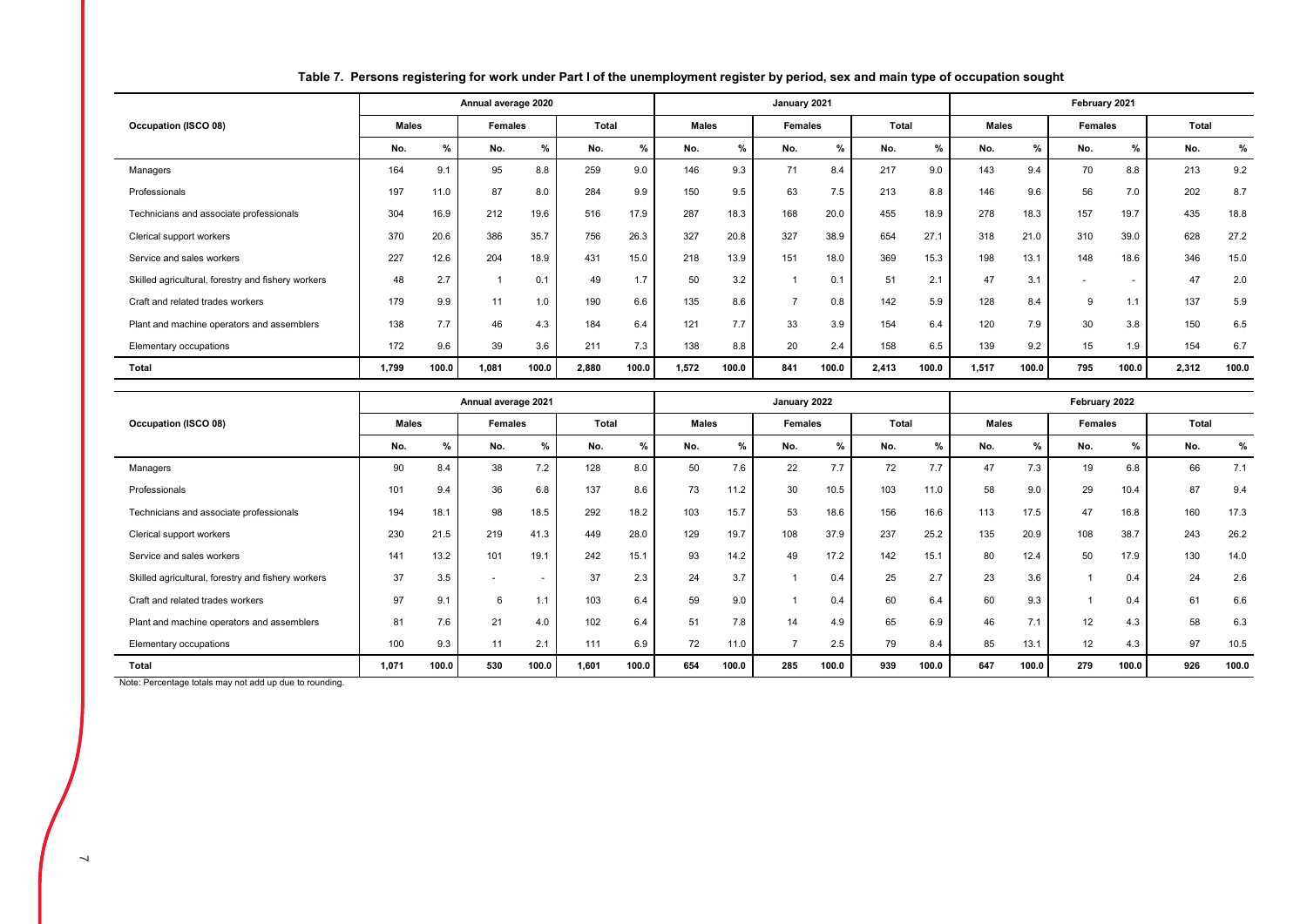|                                                    |              |       | Annual average 2020 |       |       |               |              |       | January 2021   |       |       |       |              |       | February 2021  |                          |       |       |
|----------------------------------------------------|--------------|-------|---------------------|-------|-------|---------------|--------------|-------|----------------|-------|-------|-------|--------------|-------|----------------|--------------------------|-------|-------|
| Occupation (ISCO 08)                               | <b>Males</b> |       | <b>Females</b>      |       | Total |               | <b>Males</b> |       | Females        |       | Total |       | <b>Males</b> |       | Females        |                          | Total |       |
|                                                    | No.          | %     | No.                 | $\%$  | No.   | $\frac{9}{6}$ | No.          | $\%$  | No.            | $\%$  | No.   | %     | No.          | $\%$  | No.            | %                        | No.   | %     |
| Managers                                           | 164          | 9.1   | 95                  | 8.8   | 259   | 9.0           | 146          | 9.3   | 71             | 8.4   | 217   | 9.0   | 143          | 9.4   | 70             | 8.8                      | 213   | 9.2   |
| Professionals                                      | 197          | 11.0  | 87                  | 8.0   | 284   | 9.9           | 150          | 9.5   | 63             | 7.5   | 213   | 8.8   | 146          | 9.6   | 56             | 7.0                      | 202   | 8.7   |
| Technicians and associate professionals            | 304          | 16.9  | 212                 | 19.6  | 516   | 17.9          | 287          | 18.3  | 168            | 20.0  | 455   | 18.9  | 278          | 18.3  | 157            | 19.7                     | 435   | 18.8  |
| Clerical support workers                           | 370          | 20.6  | 386                 | 35.7  | 756   | 26.3          | 327          | 20.8  | 327            | 38.9  | 654   | 27.1  | 318          | 21.0  | 310            | 39.0                     | 628   | 27.2  |
| Service and sales workers                          | 227          | 12.6  | 204                 | 18.9  | 431   | 15.0          | 218          | 13.9  | 151            | 18.0  | 369   | 15.3  | 198          | 13.1  | 148            | 18.6                     | 346   | 15.0  |
| Skilled agricultural, forestry and fishery workers | 48           | 2.7   |                     | 0.1   | 49    | 1.7           | 50           | 3.2   |                | 0.1   | 51    | 2.1   | 47           | 3.1   | $\overline{a}$ | $\overline{\phantom{a}}$ | 47    | 2.0   |
| Craft and related trades workers                   | 179          | 9.9   | 11                  | 1.0   | 190   | 6.6           | 135          | 8.6   | $\overline{ }$ | 0.8   | 142   | 5.9   | 128          | 8.4   | 9              | 1.1                      | 137   | 5.9   |
| Plant and machine operators and assemblers         | 138          | 7.7   | 46                  | 4.3   | 184   | 6.4           | 121          | 7.7   | 33             | 3.9   | 154   | 6.4   | 120          | 7.9   | 30             | 3.8                      | 150   | 6.5   |
| Elementary occupations                             | 172          | 9.6   | 39                  | 3.6   | 211   | 7.3           | 138          | 8.8   | 20             | 2.4   | 158   | 6.5   | 139          | 9.2   | 15             | 1.9                      | 154   | 6.7   |
| Total                                              | 1,799        | 100.0 | 1,081               | 100.0 | 2,880 | 100.0         | 1,572        | 100.0 | 841            | 100.0 | 2,413 | 100.0 | 1,517        | 100.0 | 795            | 100.0                    | 2,312 | 100.0 |

## **Table 7. Persons registering for work under Part I of the unemployment register by period, sex and main type of occupation sought**

|                                                    |              |               | Annual average 2021 |               |       |               |              |       | January 2022   |       |       |       |              |       | February 2022 |       |       |       |
|----------------------------------------------------|--------------|---------------|---------------------|---------------|-------|---------------|--------------|-------|----------------|-------|-------|-------|--------------|-------|---------------|-------|-------|-------|
| Occupation (ISCO 08)                               | <b>Males</b> |               | <b>Females</b>      |               | Total |               | <b>Males</b> |       | Females        |       | Total |       | <b>Males</b> |       | Females       |       | Total |       |
|                                                    | No.          | $\frac{9}{6}$ | No.                 | $\frac{9}{6}$ | No.   | $\frac{0}{0}$ | No.          | $\%$  | No.            | $\%$  | No.   | %     | No.          | %     | No.           | %     | No.   | %     |
| Managers                                           | 90           | 8.4           | 38                  | 7.2           | 128   | 8.0           | 50           | 7.6   | 22             | 7.7   | 72    | 7.7   | 47           | 7.3   | 19            | 6.8   | 66    | 7.1   |
| Professionals                                      | 101          | 9.4           | 36                  | 6.8           | 137   | 8.6           | 73           | 11.2  | 30             | 10.5  | 103   | 11.0  | 58           | 9.0   | 29            | 10.4  | 87    | 9.4   |
| Technicians and associate professionals            | 194          | 18.1          | 98                  | 18.5          | 292   | 18.2          | 103          | 15.7  | 53             | 18.6  | 156   | 16.6  | 113          | 17.5  | 47            | 16.8  | 160   | 17.3  |
| Clerical support workers                           | 230          | 21.5          | 219                 | 41.3          | 449   | 28.0          | 129          | 19.7  | 108            | 37.9  | 237   | 25.2  | 135          | 20.9  | 108           | 38.7  | 243   | 26.2  |
| Service and sales workers                          | 141          | 13.2          | 101                 | 19.1          | 242   | 15.1          | 93           | 14.2  | 49             | 17.2  | 142   | 15.1  | 80           | 12.4  | 50            | 17.9  | 130   | 14.0  |
| Skilled agricultural, forestry and fishery workers | 37           | 3.5           |                     |               | 37    | 2.3           | 24           | 3.7   |                | 0.4   | 25    | 2.7   | 23           | 3.6   |               | 0.4   | 24    | 2.6   |
| Craft and related trades workers                   | 97           | 9.1           | 6                   | 1.1           | 103   | 6.4           | 59           | 9.0   |                | 0.4   | 60    | 6.4   | 60           | 9.3   |               | 0.4   | 61    | 6.6   |
| Plant and machine operators and assemblers         | 81           | 7.6           | 21                  | 4.0           | 102   | 6.4           | 51           | 7.8   | 14             | 4.9   | 65    | 6.9   | 46           | 7.1   | 12            | 4.3   | 58    | 6.3   |
| Elementary occupations                             | 100          | 9.3           | 11                  | 2.1           | 111   | 6.9           | 72           | 11.0  | $\overline{ }$ | 2.5   | 79    | 8.4   | 85           | 13.1  | 12            | 4.3   | 97    | 10.5  |
| Total                                              | 1.071        | 100.0         | 530                 | 100.0         | 1.601 | 100.0         | 654          | 100.0 | 285            | 100.0 | 939   | 100.0 | 647          | 100.0 | 279           | 100.0 | 926   | 100.0 |

Note: Percentage totals may not add up due to rounding.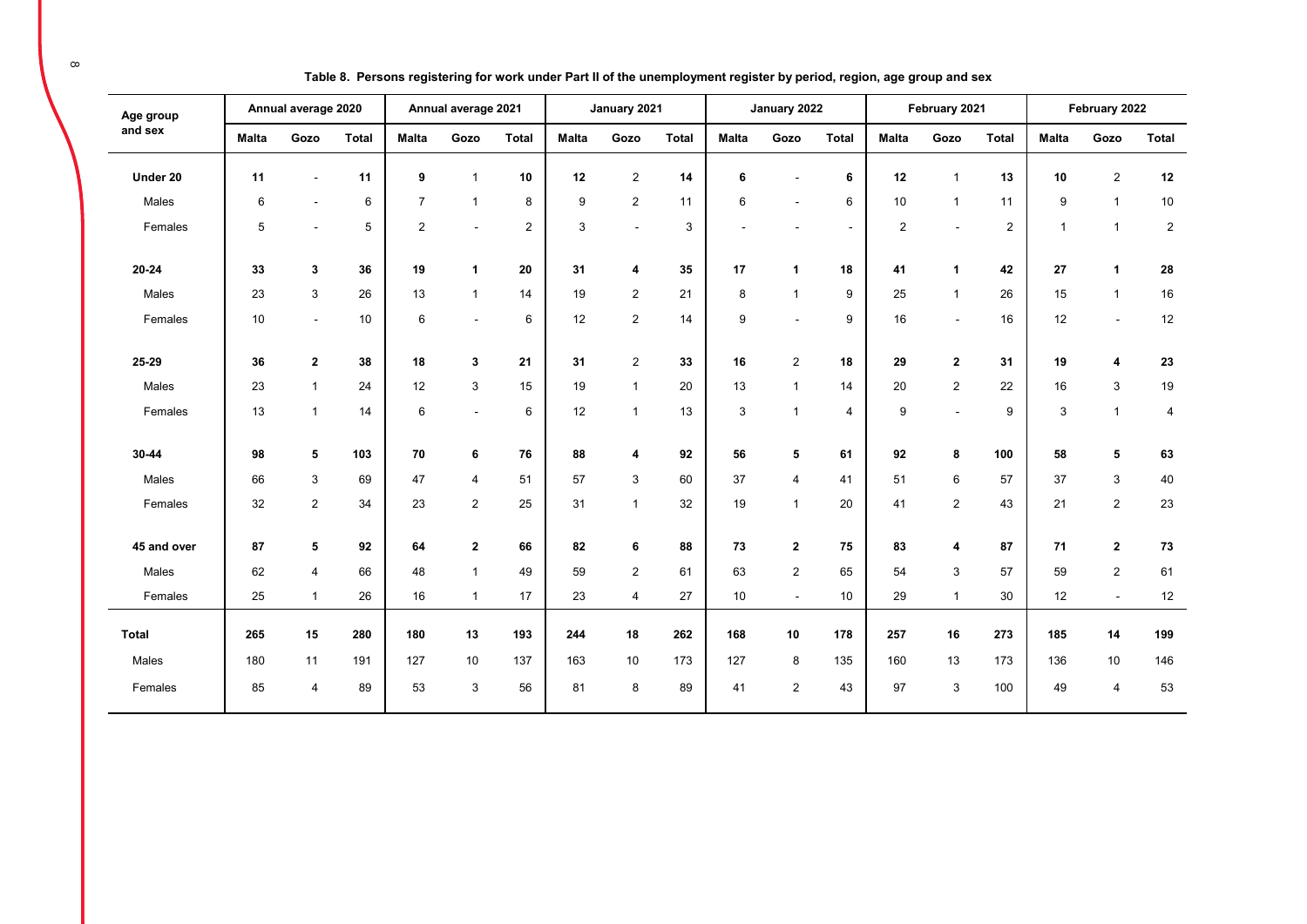| Age group    |              | Annual average 2020       |              |                | Annual average 2021     |                |              | January 2021            |              |              | January 2022   |                |                | February 2021  |                |              | February 2022  |              |
|--------------|--------------|---------------------------|--------------|----------------|-------------------------|----------------|--------------|-------------------------|--------------|--------------|----------------|----------------|----------------|----------------|----------------|--------------|----------------|--------------|
| and sex      | <b>Malta</b> | Gozo                      | <b>Total</b> | <b>Malta</b>   | Gozo                    | <b>Total</b>   | <b>Malta</b> | Gozo                    | <b>Total</b> | <b>Malta</b> | Gozo           | <b>Total</b>   | <b>Malta</b>   | Gozo           | <b>Total</b>   | <b>Malta</b> | Gozo           | <b>Total</b> |
| Under 20     | 11           | $\blacksquare$            | 11           | 9              | $\mathbf{1}$            | 10             | 12           | $\overline{c}$          | 14           | 6            |                | 6              | 12             | $\mathbf{1}$   | 13             | 10           | $\overline{2}$ | 12           |
| Males        | 6            | $\blacksquare$            | 6            | $\overline{7}$ | $\mathbf{1}$            | 8              | 9            | $\overline{2}$          | 11           | 6            |                | 6              | 10             | $\mathbf{1}$   | 11             | 9            | $\mathbf{1}$   | 10           |
| Females      | 5            | $\overline{\phantom{a}}$  | 5            | 2              | $\blacksquare$          | $\overline{2}$ | 3            | $\blacksquare$          | 3            |              |                | $\blacksquare$ | $\overline{2}$ | $\sim$         | $\overline{2}$ | $\mathbf{1}$ | $\mathbf{1}$   | $\sqrt{2}$   |
| $20 - 24$    | 33           | 3                         | 36           | 19             | $\mathbf{1}$            | 20             | 31           | 4                       | 35           | 17           | $\mathbf{1}$   | 18             | 41             | 1              | 42             | 27           | 1              | 28           |
| Males        | 23           | $\ensuremath{\mathsf{3}}$ | 26           | 13             | $\mathbf{1}$            | 14             | 19           | $\overline{c}$          | 21           | 8            | $\overline{1}$ | 9              | 25             | $\mathbf{1}$   | 26             | 15           | $\mathbf{1}$   | 16           |
| Females      | 10           | $\sim$                    | 10           | 6              | $\blacksquare$          | 6              | 12           | 2                       | 14           | 9            |                | 9              | 16             | $\sim$         | 16             | 12           | $\sim$         | 12           |
| 25-29        | 36           | $\mathbf 2$               | 38           | 18             | 3                       | 21             | 31           | $\overline{2}$          | 33           | 16           | $\overline{c}$ | 18             | 29             | $\mathbf{2}$   | 31             | 19           | 4              | 23           |
| Males        | 23           | $\mathbf{1}$              | 24           | 12             | 3                       | 15             | 19           | $\overline{1}$          | 20           | 13           | $\overline{1}$ | 14             | 20             | 2              | 22             | 16           | 3              | 19           |
| Females      | 13           | $\mathbf{1}$              | 14           | 6              | $\blacksquare$          | 6              | 12           | $\overline{1}$          | 13           | 3            | $\overline{1}$ | $\overline{4}$ | 9              | $\blacksquare$ | 9              | 3            | $\mathbf{1}$   | 4            |
| 30-44        | 98           | 5                         | 103          | 70             | 6                       | 76             | 88           | 4                       | 92           | 56           | 5              | 61             | 92             | 8              | 100            | 58           | 5              | 63           |
| Males        | 66           | 3                         | 69           | 47             | $\overline{4}$          | 51             | 57           | 3                       | 60           | 37           | 4              | 41             | 51             | 6              | 57             | 37           | 3              | 40           |
| Females      | 32           | $\overline{2}$            | 34           | 23             | $\overline{2}$          | 25             | 31           | $\overline{1}$          | 32           | 19           | $\mathbf{1}$   | 20             | 41             | 2              | 43             | 21           | $\overline{2}$ | 23           |
| 45 and over  | 87           | 5                         | 92           | 64             | $\overline{\mathbf{2}}$ | 66             | 82           | 6                       | 88           | 73           | $\mathbf{2}$   | 75             | 83             | 4              | 87             | 71           | $\mathbf{2}$   | 73           |
| Males        | 62           | 4                         | 66           | 48             | $\mathbf{1}$            | 49             | 59           | 2                       | 61           | 63           | $\overline{2}$ | 65             | 54             | 3              | 57             | 59           | $\overline{2}$ | 61           |
| Females      | 25           | $\mathbf{1}$              | 26           | 16             | $\mathbf{1}$            | 17             | 23           | $\overline{\mathbf{4}}$ | 27           | 10           | $\sim$         | 10             | 29             | $\mathbf{1}$   | 30             | 12           | $\blacksquare$ | $12$         |
| <b>Total</b> | 265          | 15                        | 280          | 180            | 13                      | 193            | 244          | 18                      | 262          | 168          | 10             | 178            | 257            | 16             | 273            | 185          | 14             | 199          |
| Males        | 180          | 11                        | 191          | 127            | 10                      | 137            | 163          | 10                      | 173          | 127          | 8              | 135            | 160            | 13             | 173            | 136          | $10$           | 146          |
| Females      | 85           | $\overline{4}$            | 89           | 53             | 3                       | 56             | 81           | 8                       | 89           | 41           | 2              | 43             | 97             | 3              | 100            | 49           | $\overline{4}$ | 53           |

**Table 8. Persons registering for work under Part II of the unemployment register by period, region, age group and sex**

 $\infty$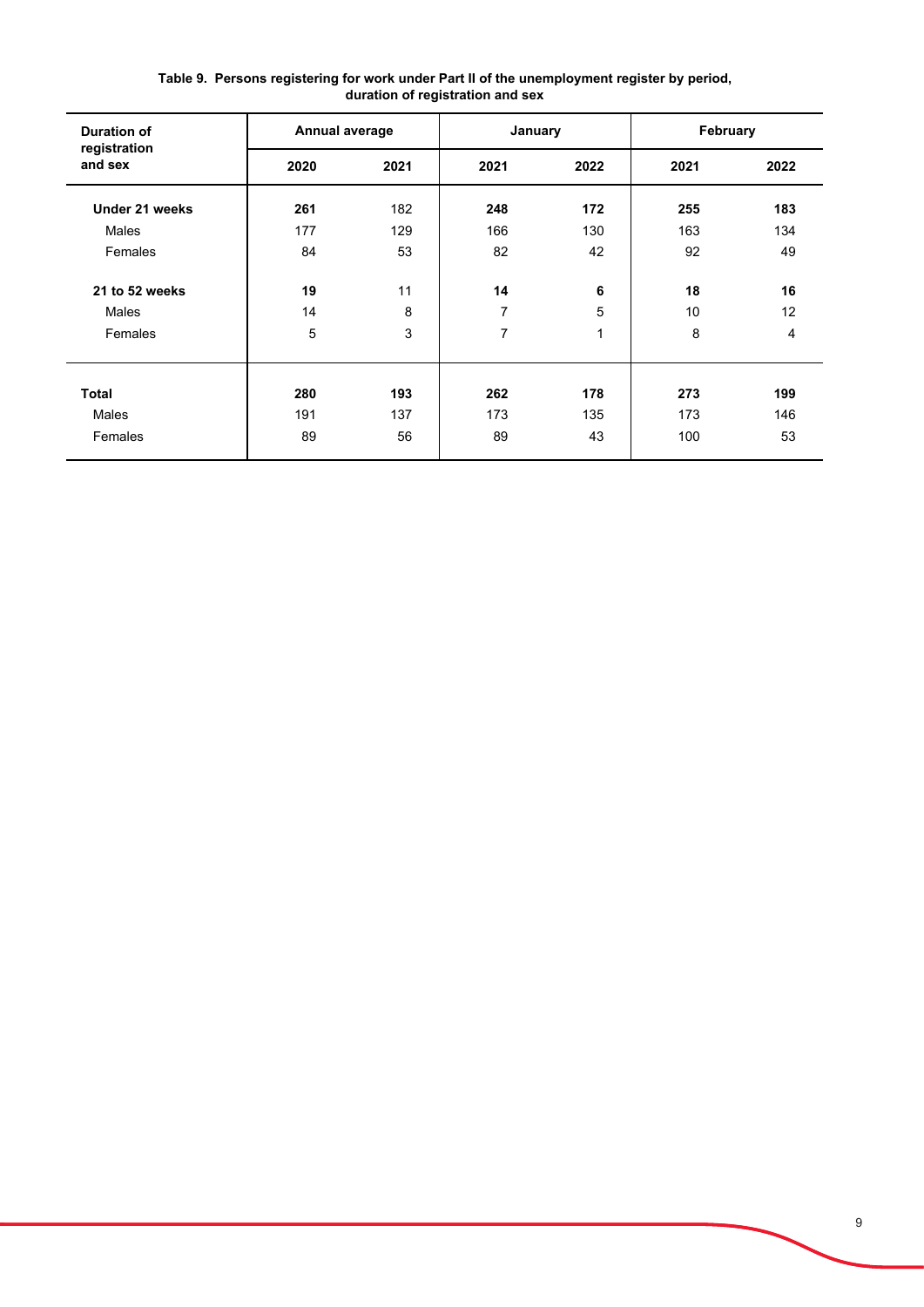| <b>Duration of</b>      | Annual average |      | January |      | February |                 |
|-------------------------|----------------|------|---------|------|----------|-----------------|
| registration<br>and sex | 2020           | 2021 | 2021    | 2022 | 2021     | 2022            |
| Under 21 weeks          | 261            | 182  | 248     | 172  | 255      | 183             |
| Males                   | 177            | 129  | 166     | 130  | 163      | 134             |
| Females                 | 84             | 53   | 82      | 42   | 92       | 49              |
| 21 to 52 weeks          | 19             | 11   | 14      | 6    | 18       | 16              |
| Males                   | 14             | 8    | 7       | 5    | 10       | 12 <sup>2</sup> |
| Females                 | 5              | 3    | 7       | 1    | 8        | 4               |
|                         |                |      |         |      |          |                 |
| <b>Total</b>            | 280            | 193  | 262     | 178  | 273      | 199             |
| <b>Males</b>            | 191            | 137  | 173     | 135  | 173      | 146             |
| Females                 | 89             | 56   | 89      | 43   | 100      | 53              |

**Table 9. Persons registering for work under Part II of the unemployment register by period, duration of registration and sex**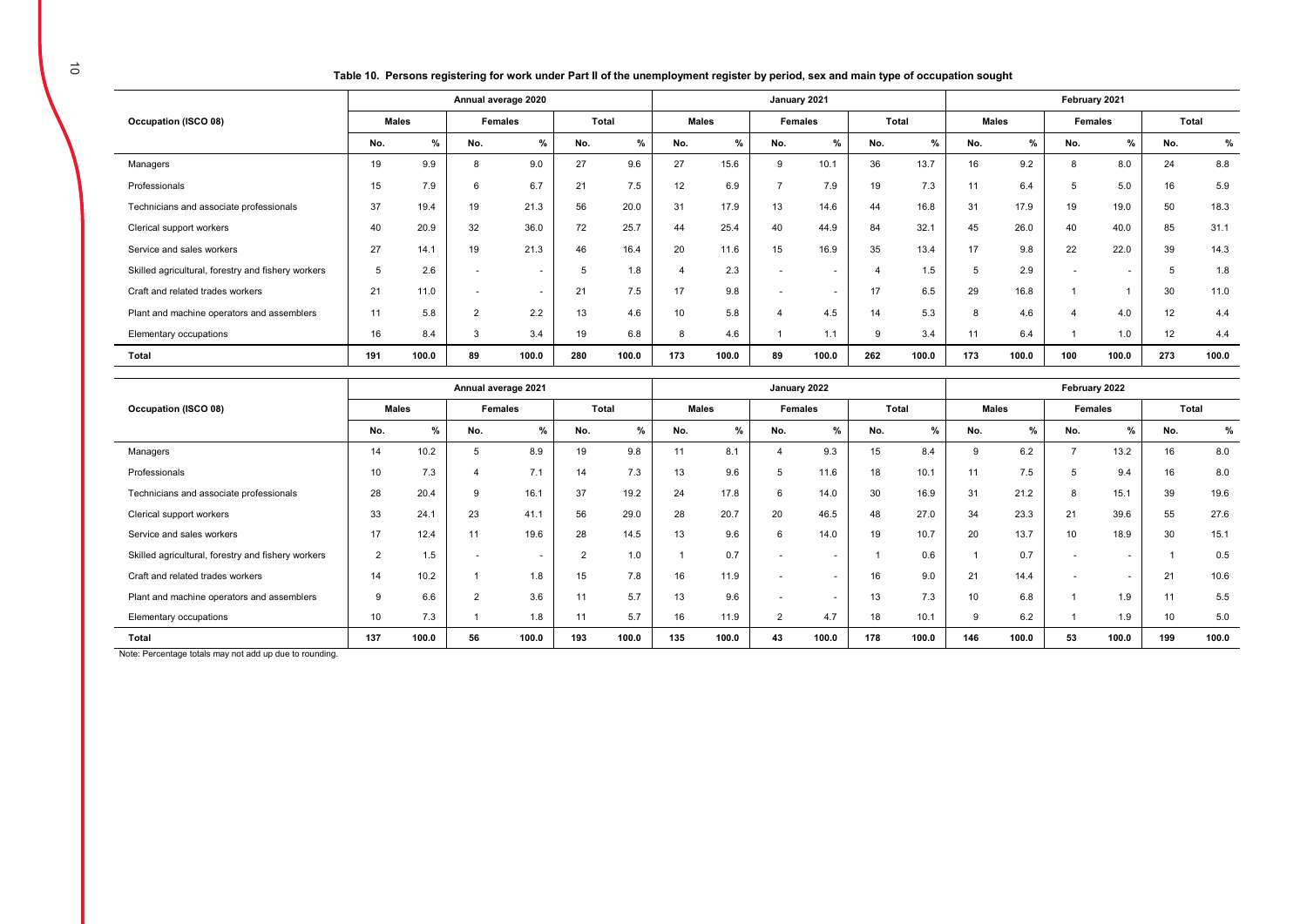**Table 10. Persons registering for work under Part II of the unemployment register by period, sex and main type of occupation sought** 

|                                                    |     |       |                          | Annual average 2020 |     |       |     |              | January 2021             |         |                        |       |              |              | February 2021       |         |       |       |
|----------------------------------------------------|-----|-------|--------------------------|---------------------|-----|-------|-----|--------------|--------------------------|---------|------------------------|-------|--------------|--------------|---------------------|---------|-------|-------|
| Occupation (ISCO 08)                               |     | Males | <b>Females</b>           |                     |     | Total |     | <b>Males</b> |                          | Females |                        | Total |              | <b>Males</b> |                     | Females | Total |       |
|                                                    | No. | %     | No.                      | %                   | No. | $\%$  | No. | %            | No.                      | %       | No.                    | %     | No.          | %            | No.                 | %       | No.   | $\%$  |
| Managers                                           | 19  | 9.9   | 8                        | 9.0                 | 27  | 9.6   | 27  | 15.6         | 9                        | 10.1    | 36                     | 13.7  | 16           | 9.2          | 8                   | 8.0     | 24    | 8.8   |
| Professionals                                      | 15  | 7.9   | 6                        | 6.7                 | 21  | 7.5   | 12  | 6.9          | $\rightarrow$            | 7.9     | 19                     | 7.3   | 11           | 6.4          | 5                   | 5.0     | 16    | 5.9   |
| Technicians and associate professionals            | 37  | 19.4  | 19                       | 21.3                | 56  | 20.0  | 31  | 17.9         | 13                       | 14.6    | 44                     | 16.8  | 31           | 17.9         | 19                  | 19.0    | 50    | 18.3  |
| Clerical support workers                           | 40  | 20.9  | 32                       | 36.0                | 72  | 25.7  | 44  | 25.4         | 40                       | 44.9    | 84                     | 32.1  | 45           | 26.0         | 40                  | 40.0    | 85    | 31.1  |
| Service and sales workers                          | 27  | 14.1  | 19                       | 21.3                | 46  | 16.4  | 20  | 11.6         | 15                       | 16.9    | 35                     | 13.4  | 17           | 9.8          | 22                  | 22.0    | 39    | 14.3  |
| Skilled agricultural, forestry and fishery workers | 5   | 2.6   | $\overline{\phantom{a}}$ | ۰.                  |     | 1.8   |     | 2.3          | $\overline{\phantom{a}}$ | $\sim$  | $\boldsymbol{\Lambda}$ | 1.5   |              | 2.9          |                     | $\sim$  |       | 1.8   |
| Craft and related trades workers                   | 21  | 11.0  | $\sim$                   | $\sim$              | 21  | 7.5   | 17  | 9.8          | $\overline{a}$           | $\sim$  | 17                     | 6.5   | 29           | 16.8         |                     |         | 30    | 11.0  |
| Plant and machine operators and assemblers         | 11  | 5.8   | $\overline{2}$           | 2.2                 | 13  | 4.6   | 10  | 5.8          | $\boldsymbol{\Delta}$    | 4.5     | 14                     | 5.3   | $\mathsf{R}$ | 4.6          | $\overline{\bf{4}}$ | 4.0     | 12    | 4.4   |
| Elementary occupations                             | 16  | 8.4   | 3                        | 3.4                 | 19  | 6.8   | 8   | 4.6          |                          | 1.1     | 9                      | 3.4   | 11           | 6.4          |                     | 1.0     | 12    | 4.4   |
| Total                                              | 191 | 100.0 | 89                       | 100.0               | 280 | 100.0 | 173 | 100.0        | 89                       | 100.0   | 262                    | 100.0 | 173          | 100.0        | 100                 | 100.0   | 273   | 100.0 |
|                                                    |     |       |                          |                     |     |       |     |              |                          |         |                        |       |              |              |                     |         |       |       |

|                                                    | Annual average 2021 |       |                |       |        |       | January 2022 |               |                          |                          |       |       | February 2022 |       |                 |               |       |       |
|----------------------------------------------------|---------------------|-------|----------------|-------|--------|-------|--------------|---------------|--------------------------|--------------------------|-------|-------|---------------|-------|-----------------|---------------|-------|-------|
| Occupation (ISCO 08)                               | <b>Males</b>        |       | Females        |       | Total  |       | <b>Males</b> |               | Females                  |                          | Total |       | Males         |       | Females         |               | Total |       |
|                                                    | No.                 | %     | No.            | $\%$  | No.    | $\%$  | No.          | $\frac{9}{6}$ | No.                      | %                        | No.   | $\%$  | No.           | %     | No.             | $\frac{9}{6}$ | No.   | %     |
| Managers                                           | 14                  | 10.2  | 5              | 8.9   | 19     | 9.8   | 11           | 8.1           |                          | 9.3                      | 15    | 8.4   | 9             | 6.2   |                 | 13.2          | 16    | 8.0   |
| Professionals                                      | 10                  | 7.3   |                | 7.1   | 14     | 7.3   | 13           | 9.6           | 5                        | 11.6                     | 18    | 10.1  | 11            | 7.5   |                 | 9.4           | 16    | 8.0   |
| Technicians and associate professionals            | 28                  | 20.4  |                | 16.1  | 37     | 19.2  | 24           | 17.8          | 6                        | 14.0                     | 30    | 16.9  | 31            | 21.2  |                 | 15.1          | 39    | 19.6  |
| Clerical support workers                           | 33                  | 24.1  | 23             | 41.1  | 56     | 29.0  | 28           | 20.7          | 20                       | 46.5                     | 48    | 27.0  | 34            | 23.3  | 21              | 39.6          | 55    | 27.6  |
| Service and sales workers                          | 17                  | 12.4  | 11             | 19.6  | 28     | 14.5  | 13           | 9.6           | 6                        | 14.0                     | 19    | 10.7  | 20            | 13.7  | 10 <sup>1</sup> | 18.9          | 30    | 15.1  |
| Skilled agricultural, forestry and fishery workers | 2                   | 1.5   |                |       | $\sim$ | 1.0   |              | 0.7           |                          | ۰                        |       | 0.6   |               | 0.7   |                 |               |       | 0.5   |
| Craft and related trades workers                   | 14                  | 10.2  |                | 1.8   | 15     | 7.8   | 16           | 11.9          | $\overline{\phantom{a}}$ | $\overline{\phantom{a}}$ | 16    | 9.0   | 21            | 14.4  | ۰               | . .           | 21    | 10.6  |
| Plant and machine operators and assemblers         | 9                   | 6.6   | $\overline{2}$ | 3.6   |        | 5.7   | 13           | 9.6           |                          | $\overline{\phantom{a}}$ | 13    | 7.3   | 10            | 6.8   |                 | 1.9           | 11    | 5.5   |
| Elementary occupations                             | 10                  | 7.3   |                | 1.8   | 11     | 5.7   | 16           | 11.9          | $\overline{2}$           | 4.7                      | 18    | 10.1  | 9             | 6.2   |                 | 1.9           | 10    | 5.0   |
| Total                                              | 137                 | 100.0 | 56             | 100.0 | 193    | 100.0 | 135          | 100.0         | 43                       | 100.0                    | 178   | 100.0 | 146           | 100.0 | 53              | 100.0         | 199   | 100.0 |

Note: Percentage totals may not add up due to rounding.

 $\overline{a}$